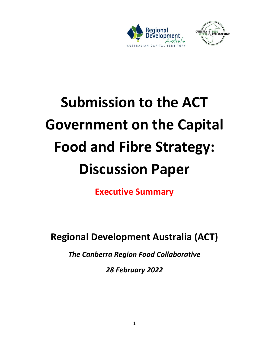



## **Submission to the ACT Government on the Capital Food and Fibre Strategy: Discussion Paper**

**Executive Summary**

**Regional Development Australia (ACT)** 

*The Canberra Region Food Collaborative*

*28 February 2022*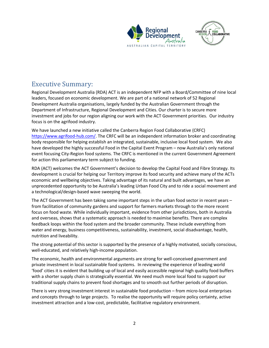



## Executive Summary:

Regional Development Australia (RDA) ACT is an independent NFP with a Board/Committee of nine local leaders, focused on economic development. We are part of a national network of 52 Regional Development Australia organisations, largely funded by the Australian Government through the Department of Infrastructure, Regional Development and Cities. Our charter is to secure more investment and jobs for our region aligning our work with the ACT Government priorities. Our industry focus is on the agrifood industry.

We have launched a new initiative called the Canberra Region Food Collaborative (CRFC) [https://www.agrifood-hub.com/.](https://www.agrifood-hub.com/) The CRFC will be an independent information broker and coordinating body responsible for helping establish an integrated, sustainable, inclusive local food system. We also have developed the highly successful Food in the Capital Event Program – now Australia's only national event focusing City-Region food systems. The CRFC is mentioned in the current Government Agreement for action this parliamentary term subject to funding.

RDA (ACT) welcomes the ACT Government's decision to develop the Capital Food and Fibre Strategy. Its development is crucial for helping our Territory improve its food security and achieve many of the ACTs economic and wellbeing objectives. Taking advantage of its natural and built advantages, we have an unprecedented opportunity to be Australia's leading Urban Food City and to ride a social movement and a technological/design-based wave sweeping the world.

The ACT Government has been taking some important steps in the urban food sector in recent years – from facilitation of community gardens and support for farmers markets through to the more recent focus on food waste. While individually important, evidence from other jurisdictions, both in Australia and overseas, shows that a systematic approach is needed to maximise benefits. There are complex feedback loops within the food system and the broader community. These include everything from water and energy, business competitiveness, sustainability, investment, social disadvantage, health, nutrition and liveability.

The strong potential of this sector is supported by the presence of a highly motivated, socially conscious, well-educated, and relatively high-income population.

The economic, health and environmental arguments are strong for well-conceived government and private investment in local sustainable food systems. In reviewing the experience of leading world 'food' cities it is evident that building up of local and easily accessible regional high quality food buffers with a shorter supply chain is strategically essential. We need much more local food to support our traditional supply chains to prevent food shortages and to smooth out further periods of disruption.

There is very strong investment interest in sustainable food production – from micro-local enterprises and concepts through to large projects. To realise the opportunity will require policy certainty, active investment attraction and a low-cost, predictable, facilitative regulatory environment.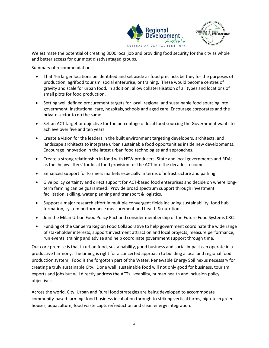



We estimate the potential of creating 3000 local job and providing food security for the city as whole and better access for our most disadvantaged groups.

Summary of recommendations:

- That 4-5 larger locations be identified and set aside as food precincts be they for the purposes of production, agrifood tourism, social enterprise, or training. These would become centres of gravity and scale for urban food. In addition, allow collateralisation of all types and locations of small plots for food production.
- Setting well defined procurement targets for local, regional and sustainable food sourcing into government, institutional care, hospitals, schools and aged care. Encourage corporates and the private sector to do the same.
- Set an ACT target or objective for the percentage of local food sourcing the Government wants to achieve over five and ten years.
- Create a vision for the leaders in the built environment targeting developers, architects, and landscape architects to integrate urban sustainable food opportunities inside new developments. Encourage innovation in the latest urban food technologies and approaches.
- Create a strong relationship in food with NSW producers, State and local governments and RDAs as the 'heavy lifters' for local food provision for the ACT into the decades to come.
- Enhanced support for Farmers markets especially in terms of infrastructure and parking
- Give policy certainty and direct support for ACT-based food enterprises and decide on where longterm farming can be guaranteed. Provide broad spectrum support through investment facilitation, skilling, water planning and transport & logistics.
- Support a major research effort in multiple convergent fields including sustainability, food hub formation, system performance measurement and health & nutrition.
- Join the Milan Urban Food Policy Pact and consider membership of the Future Food Systems CRC.
- Funding of the Canberra Region Food Collaborative to help government coordinate the wide range of stakeholder interests, support investment attraction and local projects, measure performance, run events, training and advise and help coordinate government support through time.

Our core premise is that in urban food, sustainability, good business and social impact can operate in a productive harmony. The timing is right for a concerted approach to building a local and regional food production system. Food is the forgotten part of the Water, Renewable Energy Soil nexus necessary for creating a truly sustainable City. Done well, sustainable food will not only good for business, tourism, exports and jobs but will directly address the ACTs liveability, human health and inclusion policy objectives.

Across the world, City, Urban and Rural food strategies are being developed to accommodate community-based farming, food business incubation through to striking vertical farms, high-tech green houses, aquaculture, food waste capture/reduction and clean energy integration.